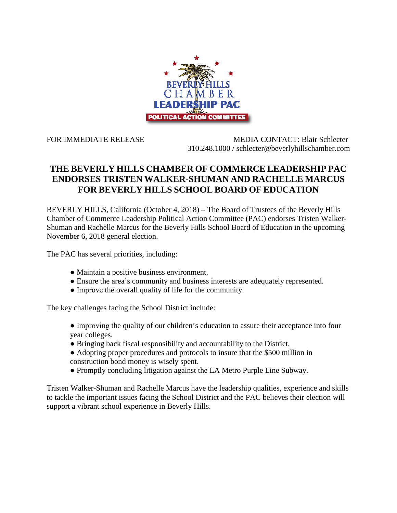

FOR IMMEDIATE RELEASE MEDIA CONTACT: Blair Schlecter 310.248.1000 / schlecter@beverlyhillschamber.com

## **THE BEVERLY HILLS CHAMBER OF COMMERCE LEADERSHIP PAC ENDORSES TRISTEN WALKER-SHUMAN AND RACHELLE MARCUS FOR BEVERLY HILLS SCHOOL BOARD OF EDUCATION**

BEVERLY HILLS, California (October 4, 2018) – The Board of Trustees of the Beverly Hills Chamber of Commerce Leadership Political Action Committee (PAC) endorses Tristen Walker-Shuman and Rachelle Marcus for the Beverly Hills School Board of Education in the upcoming November 6, 2018 general election.

The PAC has several priorities, including:

- Maintain a positive business environment.
- Ensure the area's community and business interests are adequately represented.
- Improve the overall quality of life for the community.

The key challenges facing the School District include:

- Improving the quality of our children's education to assure their acceptance into four year colleges.
- Bringing back fiscal responsibility and accountability to the District.
- Adopting proper procedures and protocols to insure that the \$500 million in
- construction bond money is wisely spent.
- Promptly concluding litigation against the LA Metro Purple Line Subway.

Tristen Walker-Shuman and Rachelle Marcus have the leadership qualities, experience and skills to tackle the important issues facing the School District and the PAC believes their election will support a vibrant school experience in Beverly Hills.